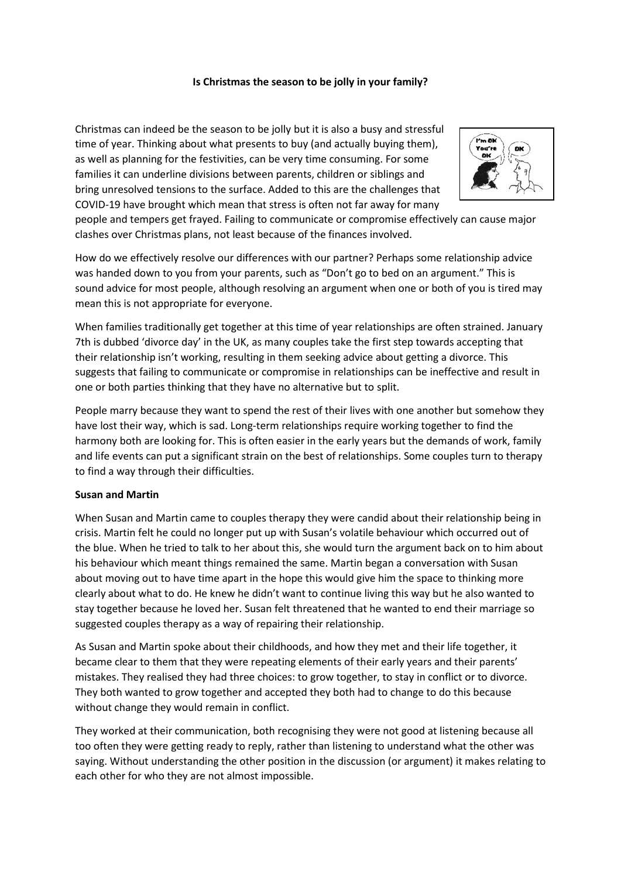## **Is Christmas the season to be jolly in your family?**

Christmas can indeed be the season to be jolly but it is also a busy and stressful time of year. Thinking about what presents to buy (and actually buying them), as well as planning for the festivities, can be very time consuming. For some families it can underline divisions between parents, children or siblings and bring unresolved tensions to the surface. Added to this are the challenges that COVID-19 have brought which mean that stress is often not far away for many



people and tempers get frayed. Failing to communicate or compromise effectively can cause major clashes over Christmas plans, not least because of the finances involved.

How do we effectively resolve our differences with our partner? Perhaps some relationship advice was handed down to you from your parents, such as "Don't go to bed on an argument." This is sound advice for most people, although resolving an argument when one or both of you is tired may mean this is not appropriate for everyone.

When families traditionally get together at this time of year relationships are often strained. January 7th is dubbed 'divorce day' in the UK, as many couples take the first step towards accepting that their relationship isn't working, resulting in them seeking advice about getting a divorce. This suggests that failing to communicate or compromise in relationships can be ineffective and result in one or both parties thinking that they have no alternative but to split.

People marry because they want to spend the rest of their lives with one another but somehow they have lost their way, which is sad. Long-term relationships require working together to find the harmony both are looking for. This is often easier in the early years but the demands of work, family and life events can put a significant strain on the best of relationships. Some couples turn to therapy to find a way through their difficulties.

## **Susan and Martin**

When Susan and Martin came to couples therapy they were candid about their relationship being in crisis. Martin felt he could no longer put up with Susan's volatile behaviour which occurred out of the blue. When he tried to talk to her about this, she would turn the argument back on to him about his behaviour which meant things remained the same. Martin began a conversation with Susan about moving out to have time apart in the hope this would give him the space to thinking more clearly about what to do. He knew he didn't want to continue living this way but he also wanted to stay together because he loved her. Susan felt threatened that he wanted to end their marriage so suggested couples therapy as a way of repairing their relationship.

As Susan and Martin spoke about their childhoods, and how they met and their life together, it became clear to them that they were repeating elements of their early years and their parents' mistakes. They realised they had three choices: to grow together, to stay in conflict or to divorce. They both wanted to grow together and accepted they both had to change to do this because without change they would remain in conflict.

They worked at their communication, both recognising they were not good at listening because all too often they were getting ready to reply, rather than listening to understand what the other was saying. Without understanding the other position in the discussion (or argument) it makes relating to each other for who they are not almost impossible.